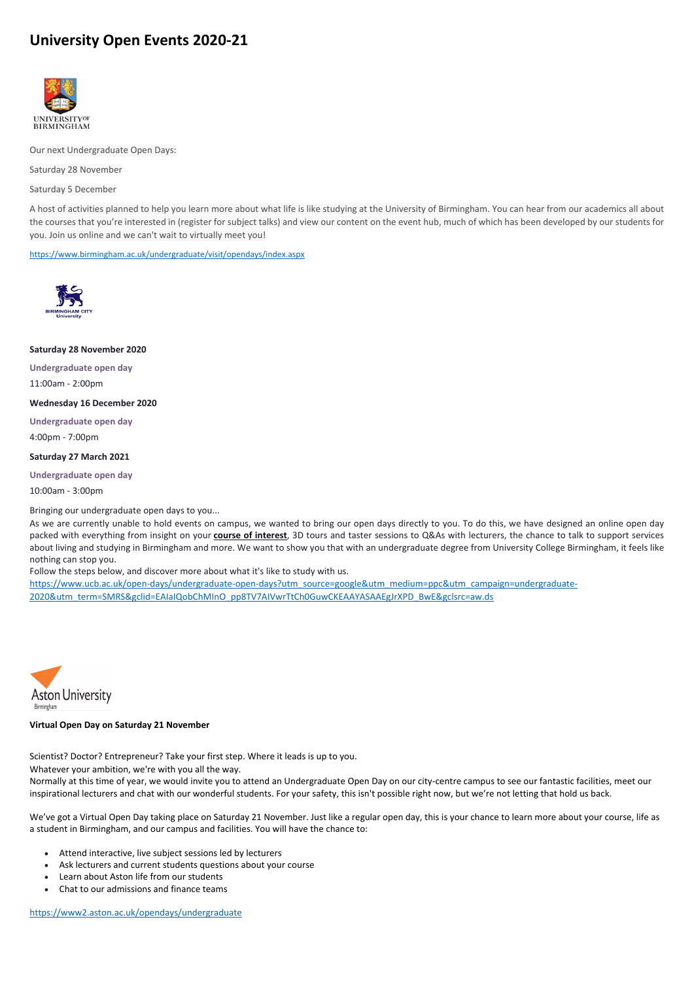# **University Open Events 2020-21**



Our next Undergraduate Open Days:

Saturday 28 November

Saturday 5 December

A host of activities planned to help you learn more about what life is like studying at the University of Birmingham. You can hear from our academics all about the courses that you're interested in (register for subject talks) and view our content on the event hub, much of which has been developed by our students for you. Join us online and we can't wait to virtually meet you!

<https://www.birmingham.ac.uk/undergraduate/visit/opendays/index.aspx>



## **Saturday 28 November 2020**

**Undergraduate open day** 11:00am - 2:00pm

#### **Wednesday 16 December 2020**

**Undergraduate open day**

4:00pm - 7:00pm

#### **Saturday 27 March 2021**

**Undergraduate open day**

10:00am - 3:00pm

Bringing our undergraduate open days to you...

As we are currently unable to hold events on campus, we wanted to bring our open days directly to you. To do this, we have designed an online open day packed with everything from insight on your **[course of interest](https://www.ucb.ac.uk/study/courses/)**, 3D tours and taster sessions to Q&As with lecturers, the chance to talk to support services about living and studying in Birmingham and more. We want to show you that with an undergraduate degree from University College Birmingham, it feels like nothing can stop you.

Follow the steps below, and discover more about what it's like to study with us.

[https://www.ucb.ac.uk/open-days/undergraduate-open-days?utm\\_source=google&utm\\_medium=ppc&utm\\_campaign=undergraduate-](https://www.ucb.ac.uk/open-days/undergraduate-open-days?utm_source=google&utm_medium=ppc&utm_campaign=undergraduate-2020&utm_term=SMRS&gclid=EAIaIQobChMInO_pp8TV7AIVwrTtCh0GuwCKEAAYASAAEgJrXPD_BwE&gclsrc=aw.ds)[2020&utm\\_term=SMRS&gclid=EAIaIQobChMInO\\_pp8TV7AIVwrTtCh0GuwCKEAAYASAAEgJrXPD\\_BwE&gclsrc=aw.ds](https://www.ucb.ac.uk/open-days/undergraduate-open-days?utm_source=google&utm_medium=ppc&utm_campaign=undergraduate-2020&utm_term=SMRS&gclid=EAIaIQobChMInO_pp8TV7AIVwrTtCh0GuwCKEAAYASAAEgJrXPD_BwE&gclsrc=aw.ds)



### Scientist? Doctor? Entrepreneur? Take your first step. Where it leads is up to you.

Whatever your ambition, we're with you all the way.

Normally at this time of year, we would invite you to attend an Undergraduate Open Day on our city-centre campus to see our fantastic facilities, meet our inspirational lecturers and chat with our wonderful students. For your safety, this isn't possible right now, but we're not letting that hold us back.

We've got a Virtual Open Day taking place on Saturday 21 November. Just like a regular open day, this is your chance to learn more about your course, life as a student in Birmingham, and our campus and facilities. You will have the chance to:

- Attend interactive, live subject sessions led by lecturers
- Ask lecturers and current students questions about your course
- Learn about Aston life from our students
- Chat to our admissions and finance teams

<https://www2.aston.ac.uk/opendays/undergraduate>